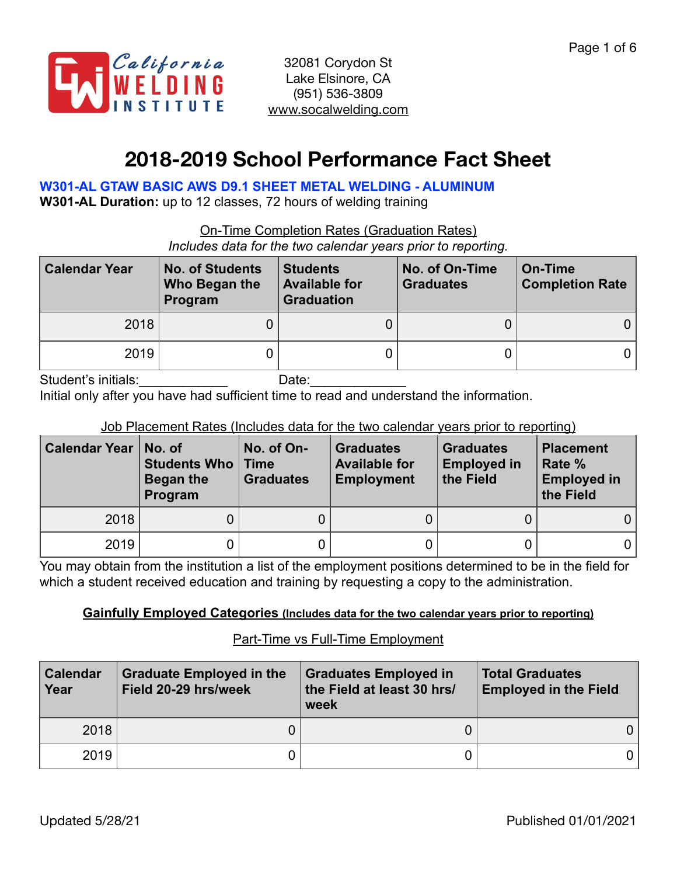

# **2018-2019 School Performance Fact Sheet**

**W301-AL GTAW BASIC AWS D9.1 SHEET METAL WELDING - ALUMINUM** 

**W301-AL Duration:** up to 12 classes, 72 hours of welding training

On-Time Completion Rates (Graduation Rates)

*Includes data for the two calendar years prior to reporting.*

| <b>Calendar Year</b> | <b>No. of Students</b><br>Who Began the<br>Program | <b>Students</b><br><b>Available for</b><br><b>Graduation</b> | No. of On-Time<br><b>Graduates</b> | On-Time<br><b>Completion Rate</b> |
|----------------------|----------------------------------------------------|--------------------------------------------------------------|------------------------------------|-----------------------------------|
| 2018                 |                                                    |                                                              |                                    |                                   |
| 2019                 |                                                    |                                                              |                                    |                                   |

Student's initials: \_\_\_\_\_\_\_\_\_\_\_\_\_\_\_\_\_\_\_\_\_\_\_\_\_Date:

Initial only after you have had sufficient time to read and understand the information.

Job Placement Rates (Includes data for the two calendar years prior to reporting)

| Calendar Year   No. of | <b>Students Who   Time</b><br>Began the<br>Program | No. of On-<br><b>Graduates</b> | <b>Graduates</b><br><b>Available for</b><br><b>Employment</b> | <b>Graduates</b><br><b>Employed in</b><br>the Field | <b>Placement</b><br>Rate %<br><b>Employed in</b><br>the Field |
|------------------------|----------------------------------------------------|--------------------------------|---------------------------------------------------------------|-----------------------------------------------------|---------------------------------------------------------------|
| 2018                   |                                                    |                                |                                                               |                                                     | 0 l                                                           |
| 2019                   |                                                    |                                |                                                               |                                                     | 0                                                             |

You may obtain from the institution a list of the employment positions determined to be in the field for which a student received education and training by requesting a copy to the administration.

#### **Gainfully Employed Categories (Includes data for the two calendar years prior to reporting)**

#### Part-Time vs Full-Time Employment

| <b>Calendar</b><br>Year | <b>Graduate Employed in the</b><br>Field 20-29 hrs/week | <b>Graduates Employed in</b><br>the Field at least 30 hrs/<br>week | <b>Total Graduates</b><br><b>Employed in the Field</b> |
|-------------------------|---------------------------------------------------------|--------------------------------------------------------------------|--------------------------------------------------------|
| 2018                    |                                                         |                                                                    |                                                        |
| 2019                    |                                                         |                                                                    |                                                        |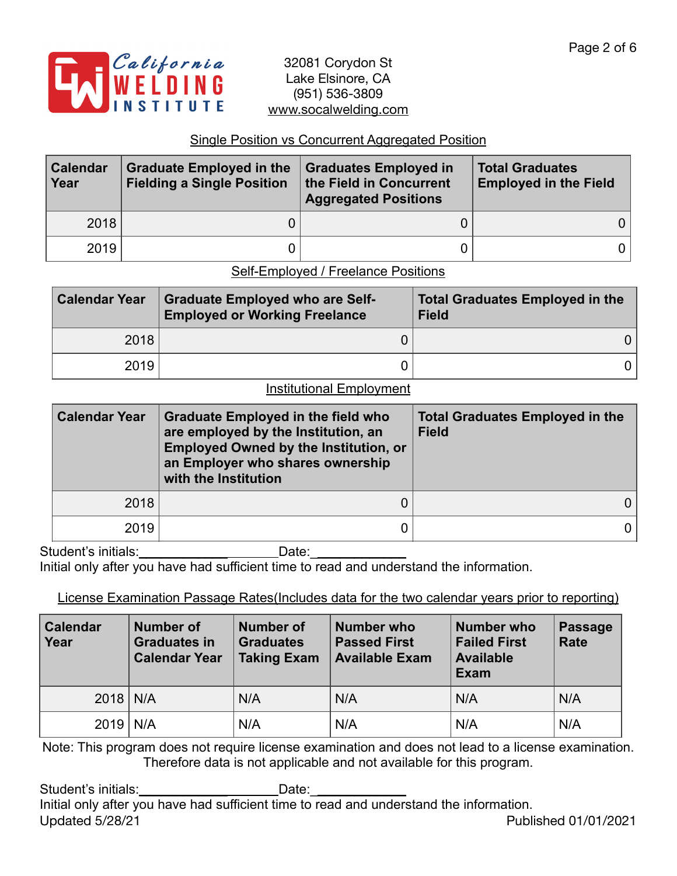

### Single Position vs Concurrent Aggregated Position

| <b>Calendar</b><br>Year | <b>Graduate Employed in the</b><br><b>Fielding a Single Position</b> | <b>Graduates Employed in</b><br>the Field in Concurrent<br><b>Aggregated Positions</b> | <b>Total Graduates</b><br><b>Employed in the Field</b> |  |
|-------------------------|----------------------------------------------------------------------|----------------------------------------------------------------------------------------|--------------------------------------------------------|--|
| 2018                    |                                                                      |                                                                                        |                                                        |  |
| 2019                    |                                                                      |                                                                                        |                                                        |  |

# Self-Employed / Freelance Positions

| <b>Calendar Year</b> | <b>Graduate Employed who are Self-</b><br><b>Employed or Working Freelance</b> | <b>Total Graduates Employed in the</b><br><b>Field</b> |
|----------------------|--------------------------------------------------------------------------------|--------------------------------------------------------|
| 2018                 |                                                                                |                                                        |
| 2019                 |                                                                                |                                                        |

# Institutional Employment

| <b>Calendar Year</b> | <b>Graduate Employed in the field who</b><br>are employed by the Institution, an<br><b>Employed Owned by the Institution, or</b><br>an Employer who shares ownership<br>with the Institution | <b>Total Graduates Employed in the</b><br><b>Field</b> |
|----------------------|----------------------------------------------------------------------------------------------------------------------------------------------------------------------------------------------|--------------------------------------------------------|
| 2018                 |                                                                                                                                                                                              |                                                        |
| 2019                 |                                                                                                                                                                                              |                                                        |

Student's initials: \_\_\_\_\_\_\_\_\_\_\_\_\_\_\_\_\_\_\_\_\_\_\_\_\_\_Date: \_\_\_\_\_\_\_\_\_\_\_\_\_\_\_\_\_\_\_\_\_\_\_\_\_\_\_\_

Initial only after you have had sufficient time to read and understand the information.

# License Examination Passage Rates(Includes data for the two calendar years prior to reporting)

| <b>Calendar</b><br><b>Number of</b><br>Year<br><b>Graduates in</b><br><b>Calendar Year</b> |  | <b>Number of</b><br>Number who<br><b>Graduates</b><br><b>Passed First</b><br><b>Taking Exam</b><br><b>Available Exam</b> |     | Number who<br><b>Failed First</b><br><b>Available</b><br><b>Exam</b> | Passage<br>Rate |
|--------------------------------------------------------------------------------------------|--|--------------------------------------------------------------------------------------------------------------------------|-----|----------------------------------------------------------------------|-----------------|
| $2018$ N/A                                                                                 |  | N/A                                                                                                                      | N/A | N/A                                                                  | N/A             |
| $2019$ N/A                                                                                 |  | N/A                                                                                                                      | N/A | N/A                                                                  | N/A             |

Note: This program does not require license examination and does not lead to a license examination. Therefore data is not applicable and not available for this program.

Student's initials:\_\_\_\_\_\_\_\_\_\_\_\_\_\_\_\_\_\_\_\_\_\_\_\_\_\_Date: Initial only after you have had sufficient time to read and understand the information. Updated 5/28/21 Published 01/01/2021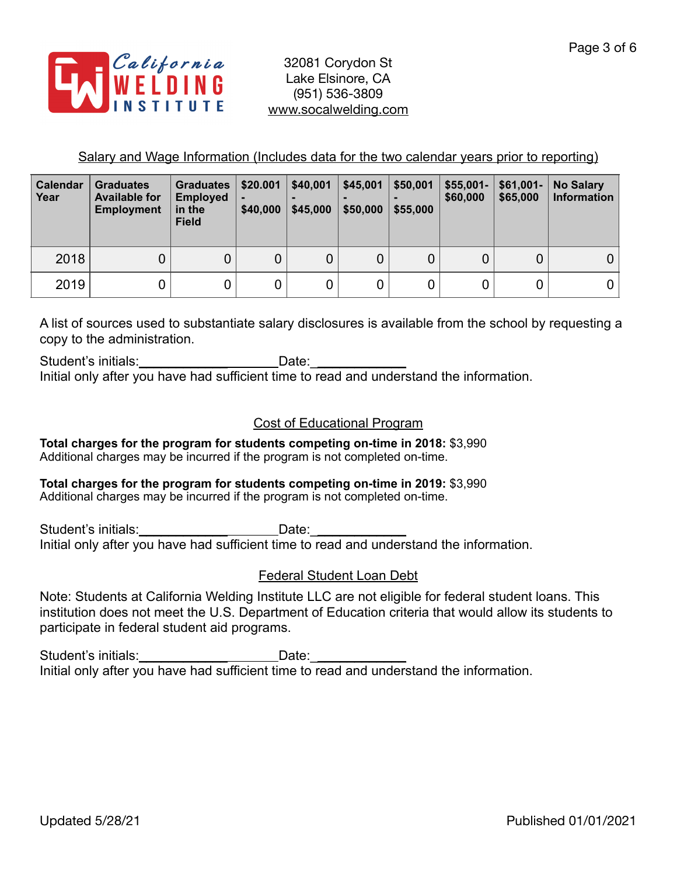

Salary and Wage Information (Includes data for the two calendar years prior to reporting)

| <b>Calendar</b><br>Year | <b>Graduates</b><br><b>Available for</b><br><b>Employment</b> | <b>Graduates</b><br><b>Employed</b><br>in the<br><b>Field</b> | \$20.001<br>\$40,000 | \$40,001<br>\$45,000 | \$45,001<br>\$50,000 | \$50,001<br>\$55,000 | $$55,001-$<br>\$60,000 | $$61,001-$<br>\$65,000 | <b>No Salary</b><br><b>Information</b> |
|-------------------------|---------------------------------------------------------------|---------------------------------------------------------------|----------------------|----------------------|----------------------|----------------------|------------------------|------------------------|----------------------------------------|
| 2018                    | 0                                                             | 0                                                             | 0                    | 0                    | 0                    |                      | 0                      | 0                      | 0                                      |
| 2019                    |                                                               |                                                               | 0                    | 0                    | 0                    |                      |                        |                        |                                        |

A list of sources used to substantiate salary disclosures is available from the school by requesting a copy to the administration.

Student's initials:\_\_\_\_\_\_\_\_\_\_\_\_\_\_\_\_\_\_\_\_\_\_\_\_\_Date: Initial only after you have had sufficient time to read and understand the information.

# Cost of Educational Program

**Total charges for the program for students competing on-time in 2018:** \$3,990 Additional charges may be incurred if the program is not completed on-time.

#### **Total charges for the program for students competing on-time in 2019:** \$3,990 Additional charges may be incurred if the program is not completed on-time.

Student's initials:\_\_\_\_\_\_\_\_\_\_\_\_\_\_\_\_\_\_\_\_\_\_\_\_\_\_Date:\_\_\_ Initial only after you have had sufficient time to read and understand the information.

# Federal Student Loan Debt

Note: Students at California Welding Institute LLC are not eligible for federal student loans. This institution does not meet the U.S. Department of Education criteria that would allow its students to participate in federal student aid programs.

Student's initials:\_\_\_\_\_\_\_\_\_\_\_\_\_\_\_\_\_\_\_\_\_\_\_\_\_Date:\_\_\_\_ Initial only after you have had sufficient time to read and understand the information.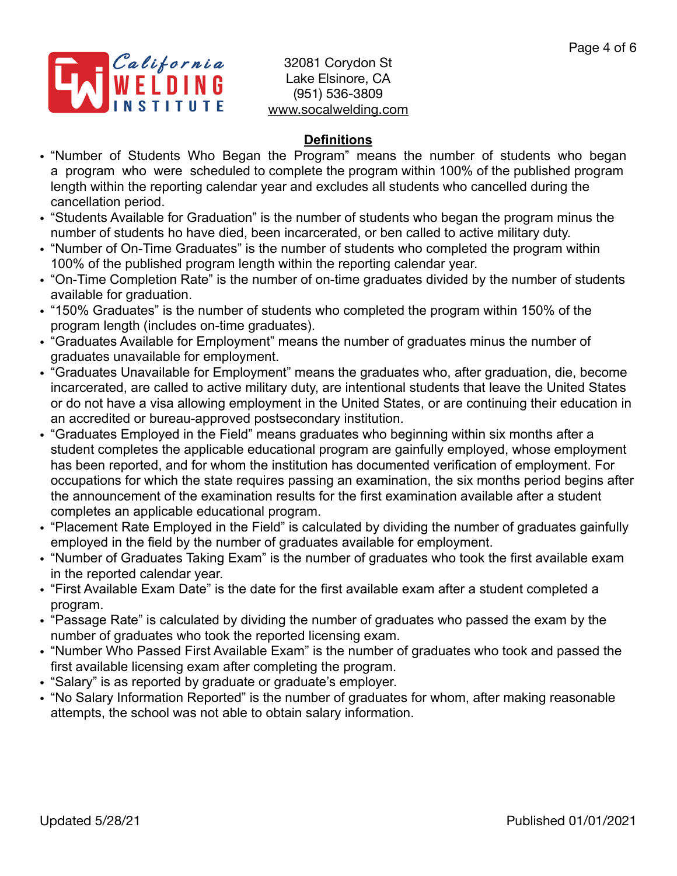

# **Definitions**

- "Number of Students Who Began the Program" means the number of students who began a program who were scheduled to complete the program within 100% of the published program length within the reporting calendar year and excludes all students who cancelled during the cancellation period.
- "Students Available for Graduation" is the number of students who began the program minus the number of students ho have died, been incarcerated, or ben called to active military duty.
- "Number of On-Time Graduates" is the number of students who completed the program within 100% of the published program length within the reporting calendar year.
- "On-Time Completion Rate" is the number of on-time graduates divided by the number of students available for graduation.
- "150% Graduates" is the number of students who completed the program within 150% of the program length (includes on-time graduates).
- "Graduates Available for Employment" means the number of graduates minus the number of graduates unavailable for employment.
- "Graduates Unavailable for Employment" means the graduates who, after graduation, die, become incarcerated, are called to active military duty, are intentional students that leave the United States or do not have a visa allowing employment in the United States, or are continuing their education in an accredited or bureau-approved postsecondary institution.
- "Graduates Employed in the Field" means graduates who beginning within six months after a student completes the applicable educational program are gainfully employed, whose employment has been reported, and for whom the institution has documented verification of employment. For occupations for which the state requires passing an examination, the six months period begins after the announcement of the examination results for the first examination available after a student completes an applicable educational program.
- "Placement Rate Employed in the Field" is calculated by dividing the number of graduates gainfully employed in the field by the number of graduates available for employment.
- "Number of Graduates Taking Exam" is the number of graduates who took the first available exam in the reported calendar year.
- "First Available Exam Date" is the date for the first available exam after a student completed a program.
- "Passage Rate" is calculated by dividing the number of graduates who passed the exam by the number of graduates who took the reported licensing exam.
- "Number Who Passed First Available Exam" is the number of graduates who took and passed the first available licensing exam after completing the program.
- "Salary" is as reported by graduate or graduate's employer.
- "No Salary Information Reported" is the number of graduates for whom, after making reasonable attempts, the school was not able to obtain salary information.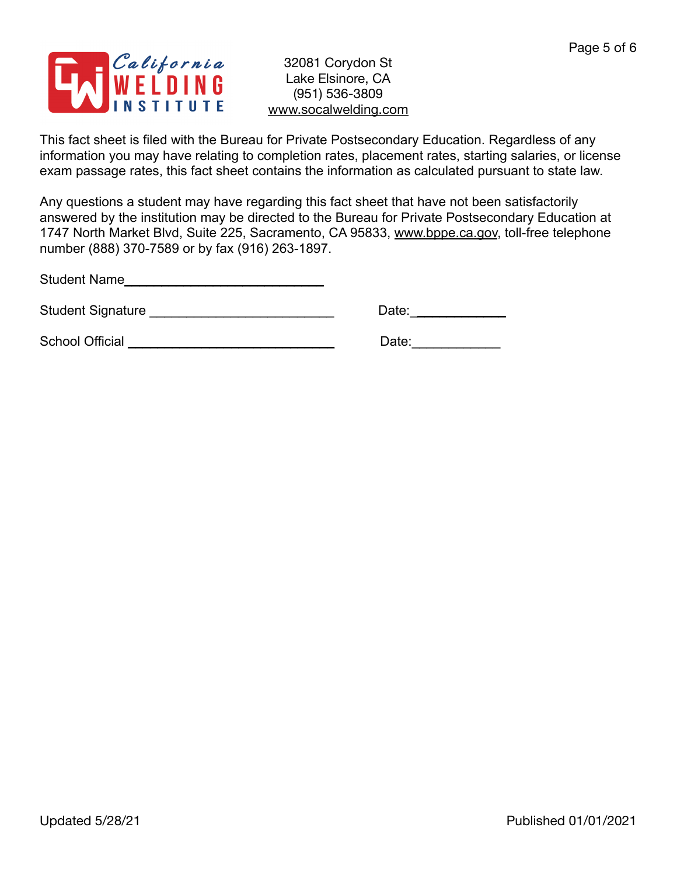

This fact sheet is filed with the Bureau for Private Postsecondary Education. Regardless of any information you may have relating to completion rates, placement rates, starting salaries, or license exam passage rates, this fact sheet contains the information as calculated pursuant to state law.

Any questions a student may have regarding this fact sheet that have not been satisfactorily answered by the institution may be directed to the Bureau for Private Postsecondary Education at 1747 North Market Blvd, Suite 225, Sacramento, CA 95833, [www.bppe.ca.gov](http://www.bppe.ca.gov), toll-free telephone number (888) 370-7589 or by fax (916) 263-1897.

Student Name\_\_\_\_\_\_\_\_\_\_\_\_\_\_\_\_\_\_\_\_\_\_\_\_\_\_\_

Student Signature \_\_\_\_\_\_\_\_\_\_\_\_\_\_\_\_\_\_\_\_\_\_\_\_\_ Date:\_\_\_\_\_\_\_\_\_\_\_\_\_

School Official \_\_\_\_\_\_\_\_\_\_\_\_\_\_\_\_\_\_\_\_\_\_\_\_\_\_\_\_ Date:\_\_\_\_\_\_\_\_\_\_\_\_